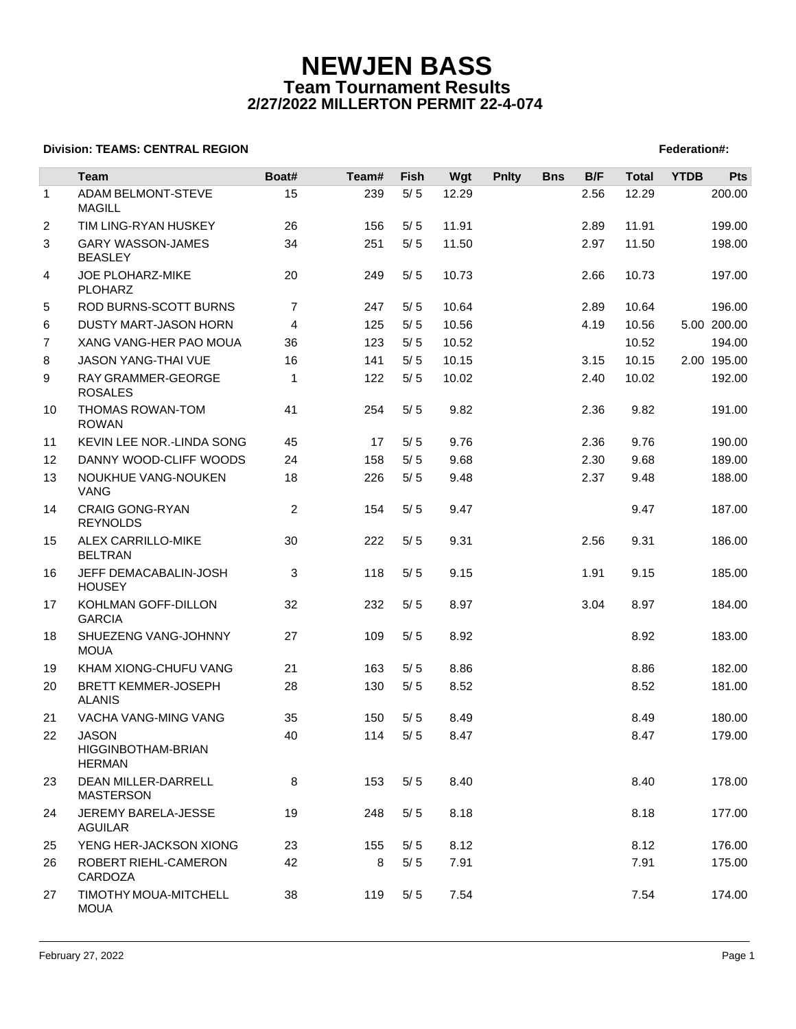# **NEWJEN BASS Team Tournament Results 2/27/2022 MILLERTON PERMIT 22-4-074**

## **Division: TEAMS: CENTRAL REGION FEDERATION FEDERATION: A SET AND REGION FEDERATION FEDERATION: TEAMS: CENTRAL REGION**

|                | Team                                                       | Boat#          | Team# | <b>Fish</b> | Wgt   | <b>Pnlty</b> | <b>Bns</b> | B/F  | <b>Total</b> | <b>YTDB</b> | <b>Pts</b>  |
|----------------|------------------------------------------------------------|----------------|-------|-------------|-------|--------------|------------|------|--------------|-------------|-------------|
| $\mathbf{1}$   | ADAM BELMONT-STEVE<br><b>MAGILL</b>                        | 15             | 239   | 5/5         | 12.29 |              |            | 2.56 | 12.29        |             | 200.00      |
| $\overline{2}$ | TIM LING-RYAN HUSKEY                                       | 26             | 156   | 5/5         | 11.91 |              |            | 2.89 | 11.91        |             | 199.00      |
| 3              | <b>GARY WASSON-JAMES</b><br><b>BEASLEY</b>                 | 34             | 251   | 5/5         | 11.50 |              |            | 2.97 | 11.50        |             | 198.00      |
| 4              | JOE PLOHARZ-MIKE<br><b>PLOHARZ</b>                         | 20             | 249   | 5/5         | 10.73 |              |            | 2.66 | 10.73        |             | 197.00      |
| 5              | ROD BURNS-SCOTT BURNS                                      | $\overline{7}$ | 247   | 5/5         | 10.64 |              |            | 2.89 | 10.64        |             | 196.00      |
| 6              | DUSTY MART-JASON HORN                                      | $\overline{4}$ | 125   | 5/5         | 10.56 |              |            | 4.19 | 10.56        |             | 5.00 200.00 |
| $\overline{7}$ | XANG VANG-HER PAO MOUA                                     | 36             | 123   | 5/5         | 10.52 |              |            |      | 10.52        |             | 194.00      |
| 8              | JASON YANG-THAI VUE                                        | 16             | 141   | 5/5         | 10.15 |              |            | 3.15 | 10.15        |             | 2.00 195.00 |
| 9              | RAY GRAMMER-GEORGE<br><b>ROSALES</b>                       | 1              | 122   | 5/5         | 10.02 |              |            | 2.40 | 10.02        |             | 192.00      |
| 10             | THOMAS ROWAN-TOM<br><b>ROWAN</b>                           | 41             | 254   | 5/5         | 9.82  |              |            | 2.36 | 9.82         |             | 191.00      |
| 11             | KEVIN LEE NOR.-LINDA SONG                                  | 45             | 17    | 5/5         | 9.76  |              |            | 2.36 | 9.76         |             | 190.00      |
| 12             | DANNY WOOD-CLIFF WOODS                                     | 24             | 158   | 5/5         | 9.68  |              |            | 2.30 | 9.68         |             | 189.00      |
| 13             | NOUKHUE VANG-NOUKEN<br><b>VANG</b>                         | 18             | 226   | 5/5         | 9.48  |              |            | 2.37 | 9.48         |             | 188.00      |
| 14             | <b>CRAIG GONG-RYAN</b><br><b>REYNOLDS</b>                  | 2              | 154   | 5/5         | 9.47  |              |            |      | 9.47         |             | 187.00      |
| 15             | ALEX CARRILLO-MIKE<br><b>BELTRAN</b>                       | 30             | 222   | 5/5         | 9.31  |              |            | 2.56 | 9.31         |             | 186.00      |
| 16             | JEFF DEMACABALIN-JOSH<br><b>HOUSEY</b>                     | 3              | 118   | 5/5         | 9.15  |              |            | 1.91 | 9.15         |             | 185.00      |
| 17             | KOHLMAN GOFF-DILLON<br><b>GARCIA</b>                       | 32             | 232   | 5/5         | 8.97  |              |            | 3.04 | 8.97         |             | 184.00      |
| 18             | SHUEZENG VANG-JOHNNY<br><b>MOUA</b>                        | 27             | 109   | 5/5         | 8.92  |              |            |      | 8.92         |             | 183.00      |
| 19             | KHAM XIONG-CHUFU VANG                                      | 21             | 163   | 5/5         | 8.86  |              |            |      | 8.86         |             | 182.00      |
| 20             | <b>BRETT KEMMER-JOSEPH</b><br><b>ALANIS</b>                | 28             | 130   | 5/5         | 8.52  |              |            |      | 8.52         |             | 181.00      |
| 21             | VACHA VANG-MING VANG                                       | 35             | 150   | 5/5         | 8.49  |              |            |      | 8.49         |             | 180.00      |
| 22             | <b>JASON</b><br><b>HIGGINBOTHAM-BRIAN</b><br><b>HERMAN</b> | 40             | 114   | 5/5         | 8.47  |              |            |      | 8.47         |             | 179.00      |
| 23             | DEAN MILLER-DARRELL<br><b>MASTERSON</b>                    | 8              | 153   | 5/5         | 8.40  |              |            |      | 8.40         |             | 178.00      |
| 24             | JEREMY BARELA-JESSE<br><b>AGUILAR</b>                      | 19             | 248   | 5/5         | 8.18  |              |            |      | 8.18         |             | 177.00      |
| 25             | YENG HER-JACKSON XIONG                                     | 23             | 155   | 5/5         | 8.12  |              |            |      | 8.12         |             | 176.00      |
| 26             | ROBERT RIEHL-CAMERON<br>CARDOZA                            | 42             | 8     | 5/5         | 7.91  |              |            |      | 7.91         |             | 175.00      |
| 27             | TIMOTHY MOUA-MITCHELL<br><b>MOUA</b>                       | 38             | 119   | 5/5         | 7.54  |              |            |      | 7.54         |             | 174.00      |